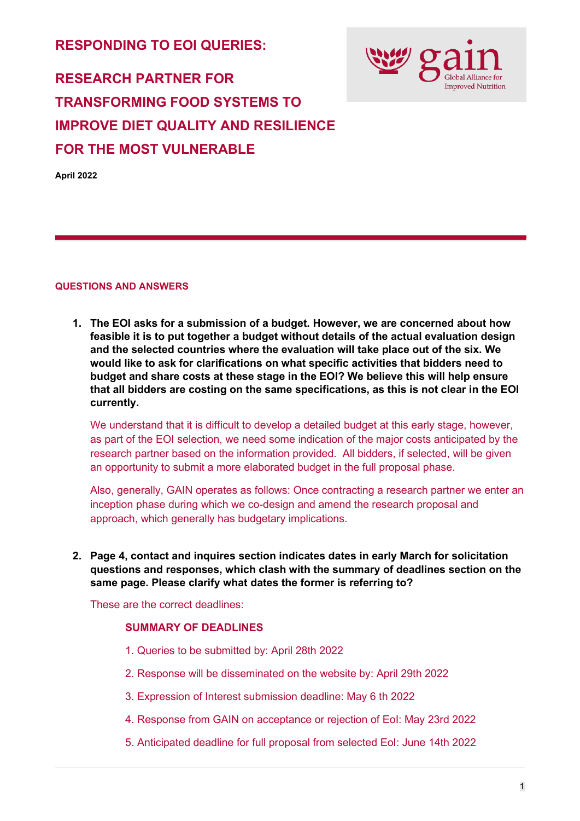**RESPONDING TO EOI QUERIES:**



# **RESEARCH PARTNER FOR TRANSFORMING FOOD SYSTEMS TO IMPROVE DIET QUALITY AND RESILIENCE FOR THE MOST VULNERABLE**

**April 2022**

#### **QUESTIONS AND ANSWERS**

**1. The EOI asks for a submission of a budget. However, we are concerned about how feasible it is to put together a budget without details of the actual evaluation design and the selected countries where the evaluation will take place out of the six. We would like to ask for clarifications on what specific activities that bidders need to budget and share costs at these stage in the EOI? We believe this will help ensure that all bidders are costing on the same specifications, as this is not clear in the EOI currently.**

We understand that it is difficult to develop a detailed budget at this early stage, however, as part of the EOI selection, we need some indication of the major costs anticipated by the research partner based on the information provided. All bidders, if selected, will be given an opportunity to submit a more elaborated budget in the full proposal phase.

Also, generally, GAIN operates as follows: Once contracting a research partner we enter an inception phase during which we co-design and amend the research proposal and approach, which generally has budgetary implications.

**2. Page 4, contact and inquires section indicates dates in early March for solicitation questions and responses, which clash with the summary of deadlines section on the same page. Please clarify what dates the former is referring to?**

These are the correct deadlines:

## **SUMMARY OF DEADLINES**

- 1. Queries to be submitted by: April 28th 2022
- 2. Response will be disseminated on the website by: April 29th 2022
- 3. Expression of Interest submission deadline: May 6 th 2022
- 4. Response from GAIN on acceptance or rejection of EoI: May 23rd 2022
- 5. Anticipated deadline for full proposal from selected EoI: June 14th 2022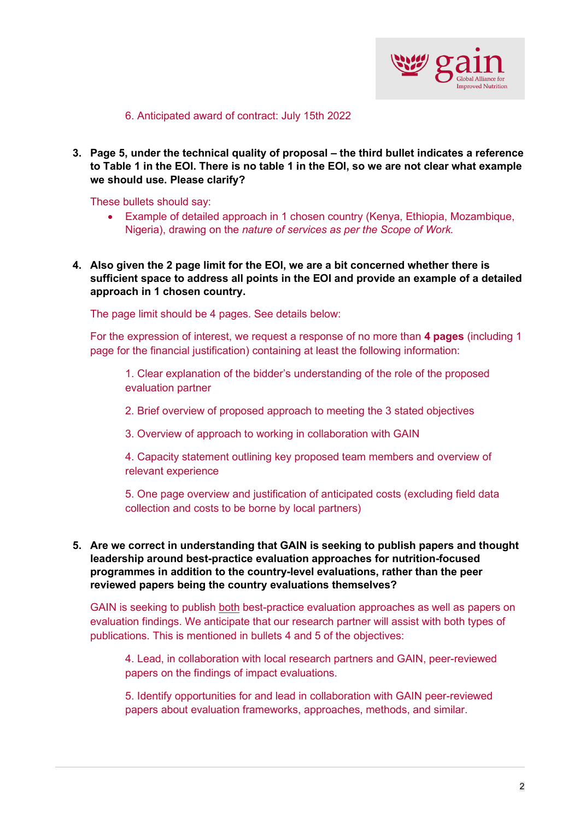

6. Anticipated award of contract: July 15th 2022

**3. Page 5, under the technical quality of proposal – the third bullet indicates a reference to Table 1 in the EOI. There is no table 1 in the EOI, so we are not clear what example we should use. Please clarify?**

These bullets should say:

- Example of detailed approach in 1 chosen country (Kenya, Ethiopia, Mozambique, Nigeria), drawing on the *nature of services as per the Scope of Work.*
- **4. Also given the 2 page limit for the EOI, we are a bit concerned whether there is sufficient space to address all points in the EOI and provide an example of a detailed approach in 1 chosen country.**

The page limit should be 4 pages. See details below:

For the expression of interest, we request a response of no more than **4 pages** (including 1 page for the financial justification) containing at least the following information:

1. Clear explanation of the bidder's understanding of the role of the proposed evaluation partner

2. Brief overview of proposed approach to meeting the 3 stated objectives

3. Overview of approach to working in collaboration with GAIN

4. Capacity statement outlining key proposed team members and overview of relevant experience

5. One page overview and justification of anticipated costs (excluding field data collection and costs to be borne by local partners)

**5. Are we correct in understanding that GAIN is seeking to publish papers and thought leadership around best-practice evaluation approaches for nutrition-focused programmes in addition to the country-level evaluations, rather than the peer reviewed papers being the country evaluations themselves?**

GAIN is seeking to publish both best-practice evaluation approaches as well as papers on evaluation findings. We anticipate that our research partner will assist with both types of publications. This is mentioned in bullets 4 and 5 of the objectives:

4. Lead, in collaboration with local research partners and GAIN, peer-reviewed papers on the findings of impact evaluations.

5. Identify opportunities for and lead in collaboration with GAIN peer-reviewed papers about evaluation frameworks, approaches, methods, and similar.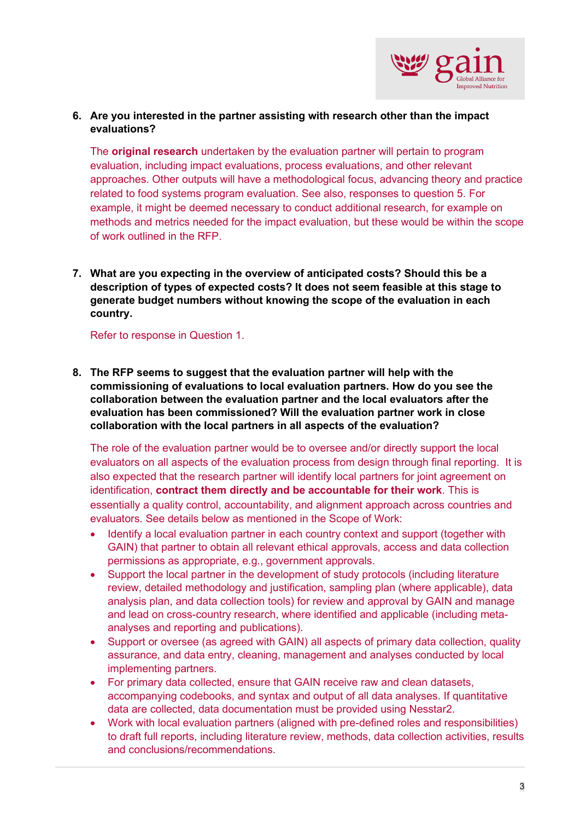

## **6. Are you interested in the partner assisting with research other than the impact evaluations?**

The **original research** undertaken by the evaluation partner will pertain to program evaluation, including impact evaluations, process evaluations, and other relevant approaches. Other outputs will have a methodological focus, advancing theory and practice related to food systems program evaluation. See also, responses to question 5. For example, it might be deemed necessary to conduct additional research, for example on methods and metrics needed for the impact evaluation, but these would be within the scope of work outlined in the RFP.

**7. What are you expecting in the overview of anticipated costs? Should this be a description of types of expected costs? It does not seem feasible at this stage to generate budget numbers without knowing the scope of the evaluation in each country.**

Refer to response in Question 1.

**8. The RFP seems to suggest that the evaluation partner will help with the commissioning of evaluations to local evaluation partners. How do you see the collaboration between the evaluation partner and the local evaluators after the evaluation has been commissioned? Will the evaluation partner work in close collaboration with the local partners in all aspects of the evaluation?**

The role of the evaluation partner would be to oversee and/or directly support the local evaluators on all aspects of the evaluation process from design through final reporting. It is also expected that the research partner will identify local partners for joint agreement on identification, **contract them directly and be accountable for their work**. This is essentially a quality control, accountability, and alignment approach across countries and evaluators. See details below as mentioned in the Scope of Work:

- Identify a local evaluation partner in each country context and support (together with GAIN) that partner to obtain all relevant ethical approvals, access and data collection permissions as appropriate, e.g., government approvals.
- Support the local partner in the development of study protocols (including literature review, detailed methodology and justification, sampling plan (where applicable), data analysis plan, and data collection tools) for review and approval by GAIN and manage and lead on cross-country research, where identified and applicable (including metaanalyses and reporting and publications).
- Support or oversee (as agreed with GAIN) all aspects of primary data collection, quality assurance, and data entry, cleaning, management and analyses conducted by local implementing partners.
- For primary data collected, ensure that GAIN receive raw and clean datasets, accompanying codebooks, and syntax and output of all data analyses. If quantitative data are collected, data documentation must be provided using Nesstar2.
- Work with local evaluation partners (aligned with pre-defined roles and responsibilities) to draft full reports, including literature review, methods, data collection activities, results and conclusions/recommendations.